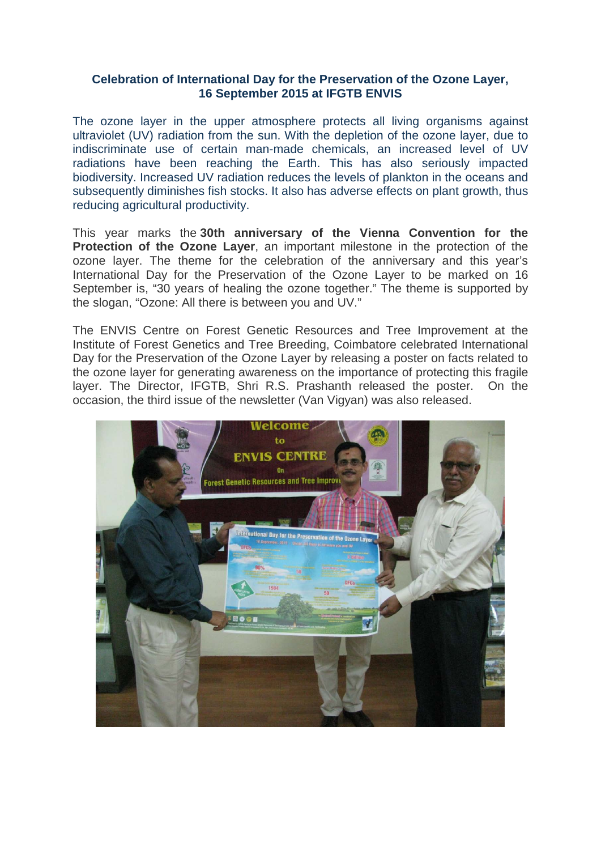## **Celebration of International Day for the Preservation of the Ozone Layer, 16 September 2015 at IFGTB ENVIS**

The ozone layer in the upper atmosphere protects all living organisms against ultraviolet (UV) radiation from the sun. With the depletion of the ozone layer, due to indiscriminate use of certain man-made chemicals, an increased level of UV radiations have been reaching the Earth. This has also seriously impacted biodiversity. Increased UV radiation reduces the levels of plankton in the oceans and subsequently diminishes fish stocks. It also has adverse effects on plant growth, thus reducing agricultural productivity.

This year marks the **30th anniversary of the Vienna Convention for the Protection of the Ozone Layer**, an important milestone in the protection of the ozone layer. The theme for the celebration of the anniversary and this year's International Day for the Preservation of the Ozone Layer to be marked on 16 September is, "30 years of healing the ozone together." The theme is supported by the slogan, "Ozone: All there is between you and UV."

The ENVIS Centre on Forest Genetic Resources and Tree Improvement at the Institute of Forest Genetics and Tree Breeding, Coimbatore celebrated International Day for the Preservation of the Ozone Layer by releasing a poster on facts related to the ozone layer for generating awareness on the importance of protecting this fragile layer. The Director, IFGTB, Shri R.S. Prashanth released the poster. On the occasion, the third issue of the newsletter (Van Vigyan) was also released.